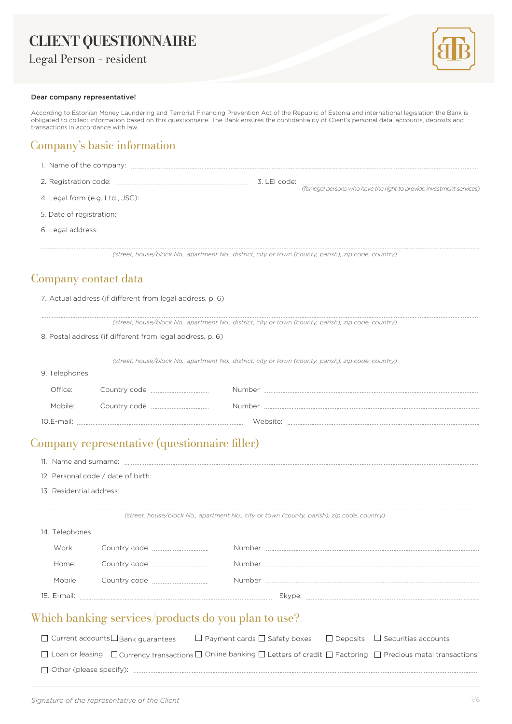# **CLIENT QUESTIONNAIRE**

Legal Person – resident



#### Dear company representative!

According to Estonian Money Laundering and Terrorist Financing Prevention Act of the Republic of Estonia and international legislation the Bank is obligated to collect information based on this questionnaire. The Bank ensures the confidentiality of Client's personal data, accounts, deposits and transactions in accordance with law.

#### Company's basic information

| 1. Name of the company:                                                                              |              |                                                                       |
|------------------------------------------------------------------------------------------------------|--------------|-----------------------------------------------------------------------|
|                                                                                                      | 3. LEI code: | (for legal persons who have the right to provide investment services) |
|                                                                                                      |              |                                                                       |
|                                                                                                      |              |                                                                       |
| 6. Legal address:                                                                                    |              |                                                                       |
| (street, house/block No., apartment No., district, city or town (county, parish), zip code, country) |              |                                                                       |

#### Company contact data

| 7. Actual address (if different from legal address, p. 6) |  |  |  |  |  |  |  |  |  |  |
|-----------------------------------------------------------|--|--|--|--|--|--|--|--|--|--|
|-----------------------------------------------------------|--|--|--|--|--|--|--|--|--|--|

*(street, house/block No., apartment No., district, city or town (county, parish), zip code, country)*

|                     | 8. Postal address (if different from legal address, p. 6) |                                                                                                      |
|---------------------|-----------------------------------------------------------|------------------------------------------------------------------------------------------------------|
|                     |                                                           | (street, house/block No., apartment No., district, city or town (county, parish), zip code, country) |
| 9. Telephones       |                                                           |                                                                                                      |
| ∩ffice <sup>.</sup> | Country code <u></u>                                      | Number                                                                                               |
| Mobile <sup>.</sup> | Country code <u></u>                                      | Number                                                                                               |
| $10.E$ -mail:       |                                                           |                                                                                                      |

### Company representative (questionnaire filler)

| 13. Residential address: |                                                                                                                                    |  |                                                                                            |  |                                                                                                                                                        |
|--------------------------|------------------------------------------------------------------------------------------------------------------------------------|--|--------------------------------------------------------------------------------------------|--|--------------------------------------------------------------------------------------------------------------------------------------------------------|
|                          |                                                                                                                                    |  | (street, house/block No., apartment No., city or town (county, parish), zip code, country) |  |                                                                                                                                                        |
| 14. Telephones           |                                                                                                                                    |  |                                                                                            |  |                                                                                                                                                        |
| Work:                    | Country code <u>____________</u> _______                                                                                           |  |                                                                                            |  |                                                                                                                                                        |
| Home:                    | Country code <b>contracts</b> country code                                                                                         |  |                                                                                            |  |                                                                                                                                                        |
| Mobile:                  |                                                                                                                                    |  |                                                                                            |  |                                                                                                                                                        |
|                          |                                                                                                                                    |  |                                                                                            |  |                                                                                                                                                        |
|                          | Which banking services/products do you plan to use?                                                                                |  |                                                                                            |  |                                                                                                                                                        |
|                          | $\Box$ Current accounts $\Box$ Bank quarantees $\Box$ Payment cards $\Box$ Safety boxes $\Box$ Deposits $\Box$ Securities accounts |  |                                                                                            |  |                                                                                                                                                        |
|                          |                                                                                                                                    |  |                                                                                            |  | $\Box$ Loan or leasing $\Box$ Currency transactions $\Box$ Online banking $\Box$ Letters of credit $\Box$ Factoring $\Box$ Precious metal transactions |
|                          |                                                                                                                                    |  |                                                                                            |  |                                                                                                                                                        |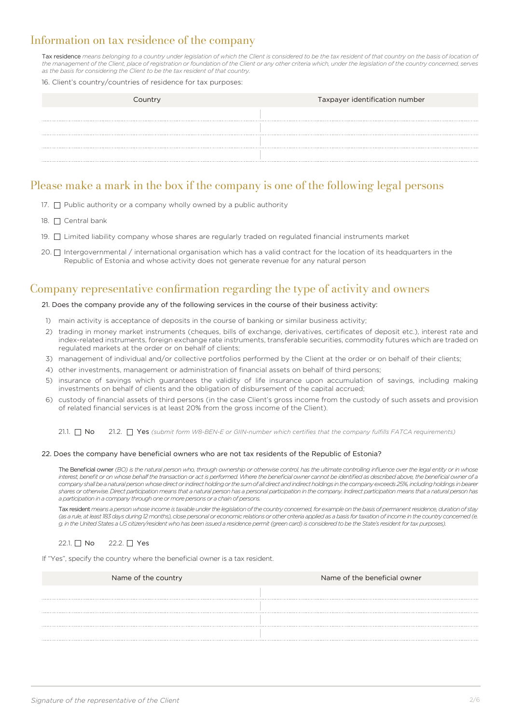#### Information on tax residence of the company

Tax residence *means belonging to a country under legislation of which the Client is considered to be the tax resident of that country on the basis of location of the management of the Client, place of registration or foundation of the Client or any other criteria which, under the legislation of the country concerned, serves as the basis for considering the Client to be the tax resident of that country.*

#### 16. Client's country/countries of residence for tax purposes:

| Country | Taxpayer identification number |
|---------|--------------------------------|
|         |                                |
|         |                                |
|         |                                |
|         |                                |

#### Please make a mark in the box if the company is one of the following legal persons

- 17.  $\Box$  Public authority or a company wholly owned by a public authority
- 18. □ Central bank
- 19. □ Limited liability company whose shares are regularly traded on regulated financial instruments market
- 20.  $\Box$  Intergovernmental / international organisation which has a valid contract for the location of its headquarters in the Republic of Estonia and whose activity does not generate revenue for any natural person

#### Company representative confirmation regarding the type of activity and owners

#### 21. Does the company provide any of the following services in the course of their business activity:

- 1) main activity is acceptance of deposits in the course of banking or similar business activity;
- 2) trading in money market instruments (cheques, bills of exchange, derivatives, certificates of deposit etc.), interest rate and index-related instruments, foreign exchange rate instruments, transferable securities, commodity futures which are traded on regulated markets at the order or on behalf of clients;
- 3) management of individual and/or collective portfolios performed by the Client at the order or on behalf of their clients;
- 4) other investments, management or administration of financial assets on behalf of third persons;
- 5) insurance of savings which guarantees the validity of life insurance upon accumulation of savings, including making investments on behalf of clients and the obligation of disbursement of the capital accrued;
- 6) custody of financial assets of third persons (in the case Client's gross income from the custody of such assets and provision of related financial services is at least 20% from the gross income of the Client).

21.1.  $\Box$  **No** 21.2.  $\Box$  Yes *(submit form W8-BEN-E or GIIN-number which certifies that the company fulfills FATCA requirements)* 

#### 22. Does the company have beneficial owners who are not tax residents of the Republic of Estonia?

The Beneficial owner *(BO) is the natural person who, through ownership or otherwise control, has the ultimate controlling influence over the legal entity or in whose interest, benefit or on whose behalf the transaction or act is performed. Where the beneficial owner cannot be identified as described above, the beneficial owner of a company shall be a natural person whose direct or indirect holding or the sum of all direct and indirect holdings in the company exceeds 25%, including holdings in bearer shares or otherwise. Direct participation means that a natural person has a personal participation in the company. Indirect participation means that a natural person has a participation in a company through one or more persons or a chain of persons.*

Tax resident *means a person whose income is taxable under the legislation of the country concerned, for example on the basis of permanent residence, duration of stay (as a rule, at least 183 days during 12 months), close personal or economic relations or other criteria applied as a basis for taxation of income in the country concerned (e. g. in the United States a US citizen/resident who has been issued a residence permit (green card) is considered to be the State's resident for tax purposes).*

#### 22.1. No 22.2. <u>N</u> Yes

If "Yes", specify the country where the beneficial owner is a tax resident.

| Name of the country | Name of the beneficial owner |
|---------------------|------------------------------|
| <b></b>             |                              |
|                     |                              |
|                     |                              |
|                     |                              |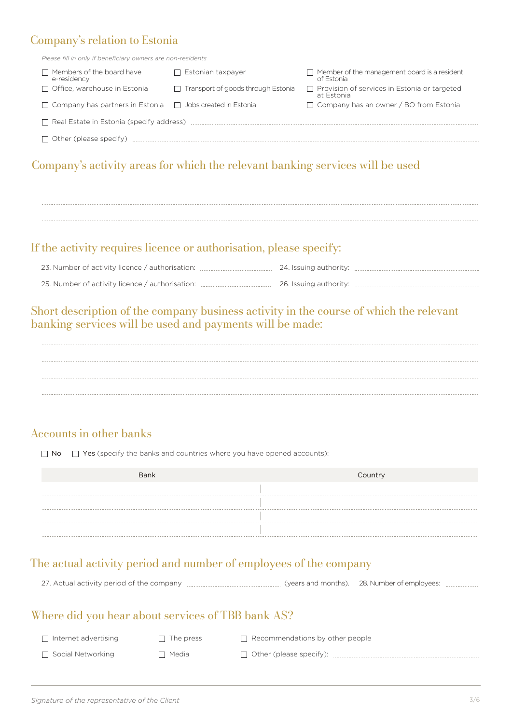### Company's relation to Estonia

*Please fill in only if beneficiary owners are non-residents*

| $\sqsupset$ Members of the board have<br>e-residency                  | Estonian taxpayer                         | $\Box$ Member of the management board is a resident<br>of Estonia |
|-----------------------------------------------------------------------|-------------------------------------------|-------------------------------------------------------------------|
| $\Box$ Office, warehouse in Estonia                                   | $\Box$ Transport of goods through Estonia | $\Box$ Provision of services in Estonia or targeted<br>at Estonia |
| $\Box$ Company has partners in Estonia $\Box$ Jobs created in Estonia |                                           | $\Box$ Company has an owner / BO from Estonia                     |
| $\Box$ Real Estate in Estonia (specify address)                       |                                           |                                                                   |
| $\Box$ Other (please specify)                                         |                                           |                                                                   |

### Company's activity areas for which the relevant banking services will be used



#### If the activity requires licence or authorisation, please specify:

| 23. Number of activity licence / authorisation: | 24. Issuing authority: |
|-------------------------------------------------|------------------------|
| 25. Number of activity licence / authorisation: | 26. Issuing authority: |

### Short description of the company business activity in the course of which the relevant banking services will be used and payments will be made:

#### Accounts in other banks

 $\Box$  No  $\Box$  Yes (specify the banks and countries where you have opened accounts):

| Bank | Country |
|------|---------|
|      |         |
|      |         |
|      |         |
|      |         |

### The actual activity period and number of employees of the company

| 27. Actual activity period of the company manual manual manual (years and months). 28. Number of employees: manual manual manual manual manual manual manual manual manual manual manual manual manual manual manual manual ma |  |  |
|--------------------------------------------------------------------------------------------------------------------------------------------------------------------------------------------------------------------------------|--|--|
|                                                                                                                                                                                                                                |  |  |

#### Where did you hear about services of TBB bank AS?

| Internet advertising | $\Box$ The press | $\Box$ Recommendations by other people |
|----------------------|------------------|----------------------------------------|
| Social Networking    | ヿ Media          | $\Box$ Other (please specify):         |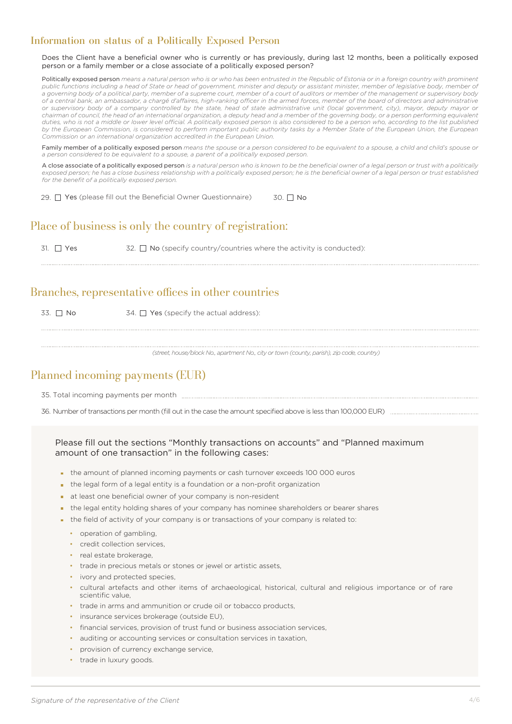#### Information on status of a Politically Exposed Person

Does the Client have a beneficial owner who is currently or has previously, during last 12 months, been a politically exposed person or a family member or a close associate of a politically exposed person?

Politically exposed person means a natural person who is or who has been entrusted in the Republic of Estonia or in a foreign country with prominent public functions including a head of State or head of government, minister and deputy or assistant minister, member of legislative body, member of *a governing body of a political party, member of a supreme court, member of a court of auditors or member of the management or supervisory body of a central bank, an ambassador, a chargé d'affaires, high-ranking officer in the armed forces, member of the board of directors and administrative or supervisory body of a company controlled by the state, head of state administrative unit (local government, city), mayor, deputy mayor or chairman of council, the head of an international organization, a deputy head and a member of the governing body, or a person performing equivalent duties, who is not a middle or lower level official. A politically exposed person is also considered to be a person who, according to the list published by the European Commission, is considered to perform important public authority tasks by a Member State of the European Union, the European Commission or an international organization accredited in the European Union.*

Family member of a politically exposed person *means the spouse or a person considered to be equivalent to a spouse, a child and child's spouse or a person considered to be equivalent to a spouse, a parent of a politically exposed person.*

A close associate of a politically exposed person *is a natural person who is known to be the beneficial owner of a legal person or trust with a politically exposed person; he has a close business relationship with a politically exposed person; he is the beneficial owner of a legal person or trust established for the benefit of a politically exposed person.*

29.  $\Box$  Yes (please fill out the Beneficial Owner Questionnaire) 30.  $\Box$  No

### Place of business is only the country of registration:

31.  $\Box$  Yes 32.  $\Box$  No (specify country/countries where the activity is conducted):

#### Branches, representative offices in other countries

33.  $\Box$  No  $\Box$  34.  $\Box$  Yes (specify the actual address):

*(street, house/block No., apartment No., city or town (county, parish), zip code, country)*

### Planned incoming payments (EUR)

35. Total incoming payments per month

36. Number of transactions per month (fill out in the case the amount specified above is less than 100,000 EUR)

#### Please fill out the sections "Monthly transactions on accounts" and "Planned maximum amount of one transaction" in the following cases:

- the amount of planned incoming payments or cash turnover exceeds 100 000 euros
- the legal form of a legal entity is a foundation or a non-profit organization
- at least one beneficial owner of your company is non-resident
- the legal entity holding shares of your company has nominee shareholders or bearer shares
- the field of activity of your company is or transactions of your company is related to:
	- operation of gambling.
	- credit collection services
	- real estate brokerage,
	- trade in precious metals or stones or jewel or artistic assets,
	- ivory and protected species.
	- cultural artefacts and other items of archaeological, historical, cultural and religious importance or of rare scientific value,
	- trade in arms and ammunition or crude oil or tobacco products,
	- insurance services brokerage (outside EU),
	- financial services, provision of trust fund or business association services,
	- auditing or accounting services or consultation services in taxation,
	- provision of currency exchange service,
	- trade in luxury goods.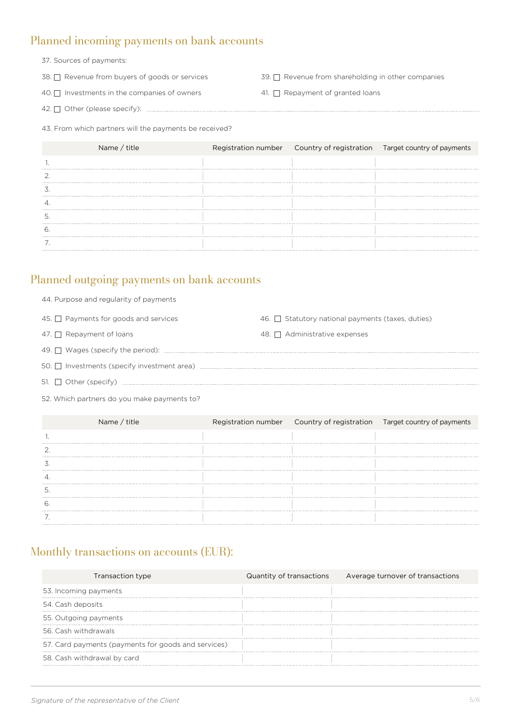#### Planned incoming payments on bank accounts

- 37. Sources of payments:
- 38. □ Revenue from buyers of goods or services
- Revenue from buyers of goods or services  $\overline{39}$ .  $\Box$  Revenue from shareholding in other companies
- 40.  $\Box$  Investments in the companies of owners  $\Box$  Al.  $\Box$  Repayment of granted loans
- 41. Repayment of granted loans
- 42. Other (please specify):

43. From which partners will the payments be received?

| Name / title |  | Registration number  Country of registration  Target country of payments |
|--------------|--|--------------------------------------------------------------------------|
|              |  |                                                                          |
|              |  |                                                                          |
|              |  |                                                                          |
|              |  |                                                                          |
|              |  |                                                                          |
|              |  |                                                                          |
|              |  |                                                                          |

#### Planned outgoing payments on bank accounts

| 45. Payments for goods and services | 46. $\Box$ Statutory national payments (taxes, duties) |
|-------------------------------------|--------------------------------------------------------|
| 47. $\Box$ Repayment of loans       | 48. $\Box$ Administrative expenses                     |
|                                     |                                                        |
|                                     |                                                        |
| 51. $\Box$ Other (specify)          |                                                        |

52. Which partners do you make payments to?

44. Purpose and regularity of payments

|   | Name / title |  | Registration number  Country of registration  Target country of payments |
|---|--------------|--|--------------------------------------------------------------------------|
|   |              |  |                                                                          |
|   |              |  |                                                                          |
|   |              |  |                                                                          |
|   |              |  |                                                                          |
| Э |              |  |                                                                          |
|   |              |  |                                                                          |
|   |              |  |                                                                          |

### Monthly transactions on accounts (EUR):

| Transaction type                                    | Quantity of transactions | Average turnover of transactions |
|-----------------------------------------------------|--------------------------|----------------------------------|
| 53. Incoming payments                               |                          |                                  |
| 54. Cash deposits                                   |                          |                                  |
| 55. Outgoing payments                               |                          |                                  |
| 56. Cash withdrawals                                |                          |                                  |
| 57. Card payments (payments for goods and services) |                          |                                  |
| 58. Cash withdrawal by card                         |                          |                                  |